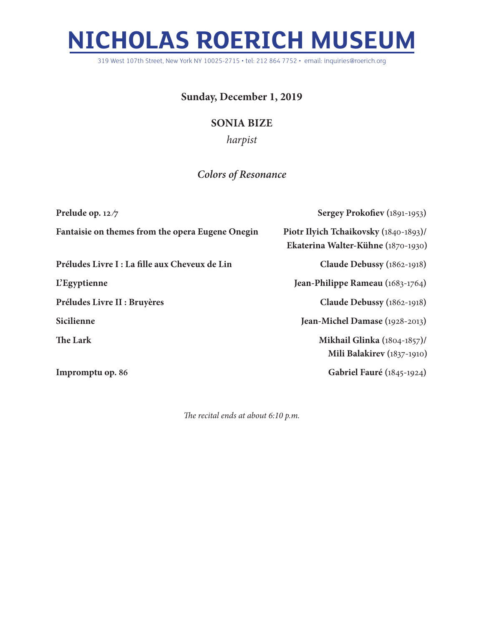## **NICHOLAS ROERICH MUSEUM**

319 West 107th Street, New York NY 10025-2715 • tel: 212 864 7752 • email: inquiries@roerich.org

## **Sunday, December 1, 2019**

## **SONIA BIZE**

*harpist*

## *Colors of Resonance*

| Prelude op. $12/7$                               | Sergey Prokofiev (1891-1953)                                                |
|--------------------------------------------------|-----------------------------------------------------------------------------|
| Fantaisie on themes from the opera Eugene Onegin | Piotr Ilyich Tchaikovsky (1840-1893)/<br>Ekaterina Walter-Kühne (1870-1930) |
| Préludes Livre I : La fille aux Cheveux de Lin   | Claude Debussy (1862-1918)                                                  |
| <b>L'Egyptienne</b>                              | Jean-Philippe Rameau (1683-1764)                                            |
| Préludes Livre II : Bruyères                     | Claude Debussy (1862-1918)                                                  |
| Sicilienne                                       | Jean-Michel Damase (1928-2013)                                              |
| The Lark                                         | <b>Mikhail Glinka</b> (1804-1857)/<br>Mili Balakirev (1837-1910)            |
| Impromptu op. 86                                 | <b>Gabriel Fauré</b> (1845-1924)                                            |

*The recital ends at about 6:10 p.m.*